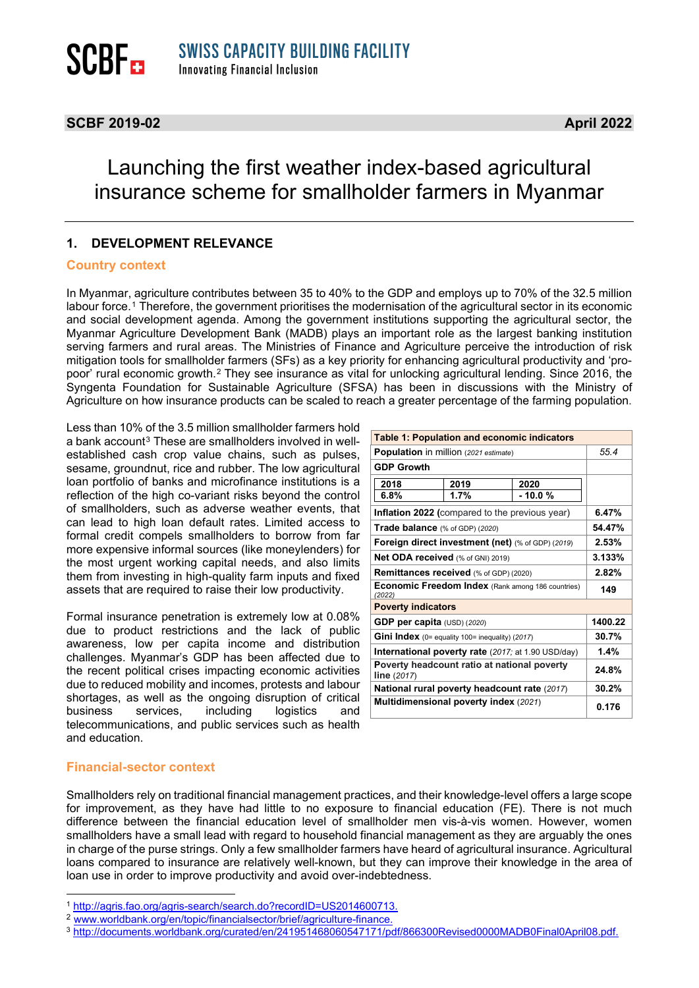### **SCBF 2019-02 April 2022**

### Launching the first weather index-based agricultural insurance scheme for smallholder farmers in Myanmar

### **1. DEVELOPMENT RELEVANCE**

#### **Country context**

In Myanmar, agriculture contributes between 35 to 40% to the GDP and employs up to 70% of the 32.5 million labour force.[1](#page-0-0) Therefore, the government prioritises the modernisation of the agricultural sector in its economic and social development agenda. Among the government institutions supporting the agricultural sector, the Myanmar Agriculture Development Bank (MADB) plays an important role as the largest banking institution serving farmers and rural areas. The Ministries of Finance and Agriculture perceive the introduction of risk mitigation tools for smallholder farmers (SFs) as a key priority for enhancing agricultural productivity and 'propoor' rural economic growth.[2](#page-0-1) They see insurance as vital for unlocking agricultural lending. Since 2016, the Syngenta Foundation for Sustainable Agriculture (SFSA) has been in discussions with the Ministry of Agriculture on how insurance products can be scaled to reach a greater percentage of the farming population.

Less than 10% of the 3.5 million smallholder farmers hold a bank account<sup>[3](#page-0-2)</sup> These are smallholders involved in wellestablished cash crop value chains, such as pulses, sesame, groundnut, rice and rubber. The low agricultural loan portfolio of banks and microfinance institutions is a reflection of the high co-variant risks beyond the control of smallholders, such as adverse weather events, that can lead to high loan default rates. Limited access to formal credit compels smallholders to borrow from far more expensive informal sources (like moneylenders) for the most urgent working capital needs, and also limits them from investing in high-quality farm inputs and fixed assets that are required to raise their low productivity.

Formal insurance penetration is extremely low at 0.08% due to product restrictions and the lack of public awareness, low per capita income and distribution challenges. Myanmar's GDP has been affected due to the recent political crises impacting economic activities due to reduced mobility and incomes, protests and labour shortages, as well as the ongoing disruption of critical<br>business services, including logistics and business services, including logistics and telecommunications, and public services such as health and education.

| <b>Table 1: Population and economic indicators</b>                 |      |          |         |  |
|--------------------------------------------------------------------|------|----------|---------|--|
| Population in million (2021 estimate)                              |      |          | 55.4    |  |
| <b>GDP Growth</b>                                                  |      |          |         |  |
| 2018                                                               | 2019 | 2020     |         |  |
| 6.8%                                                               | 1.7% | $-10.0%$ |         |  |
| Inflation 2022 (compared to the previous year)                     |      |          | 6.47%   |  |
| Trade balance (% of GDP) (2020)                                    |      |          | 54.47%  |  |
| <b>Foreign direct investment (net)</b> (% of GDP) (2019)           |      |          | 2.53%   |  |
| Net ODA received (% of GNI) 2019)                                  |      |          | 3.133%  |  |
| Remittances received (% of GDP) (2020)                             |      |          | 2.82%   |  |
| <b>Economic Freedom Index</b> (Rank among 186 countries)<br>(2022) |      |          | 149     |  |
| <b>Poverty indicators</b>                                          |      |          |         |  |
| GDP per capita $(USD)$ (2020)                                      |      |          | 1400.22 |  |
| Gini Index (0= equality 100= inequality) (2017)                    |      |          | 30.7%   |  |
| <b>International poverty rate</b> (2017; at 1.90 USD/day)          |      |          | 1.4%    |  |
| Poverty headcount ratio at national poverty<br>line (2017)         |      |          | 24.8%   |  |
| National rural poverty headcount rate (2017)                       |      |          | 30.2%   |  |
| Multidimensional poverty index (2021)                              |      |          | 0.176   |  |

### **Financial-sector context**

Smallholders rely on traditional financial management practices, and their knowledge-level offers a large scope for improvement, as they have had little to no exposure to financial education (FE). There is not much difference between the financial education level of smallholder men vis-à-vis women. However, women smallholders have a small lead with regard to household financial management as they are arguably the ones in charge of the purse strings. Only a few smallholder farmers have heard of agricultural insurance. Agricultural loans compared to insurance are relatively well-known, but they can improve their knowledge in the area of loan use in order to improve productivity and avoid over-indebtedness.

<span id="page-0-0"></span><sup>1</sup> [http://agris.fao.org/agris-search/search.do?recordID=US2014600713.](http://agris.fao.org/agris-search/search.do?recordID=US2014600713)

<span id="page-0-1"></span><sup>2</sup> [www.worldbank.org/en/topic/financialsector/brief/agriculture-finance.](http://www.worldbank.org/en/topic/financialsector/brief/agriculture-finance)

<span id="page-0-2"></span><sup>3</sup> [http://documents.worldbank.org/curated/en/241951468060547171/pdf/866300Revised0000MADB0Final0April08.pdf.](http://documents.worldbank.org/curated/en/241951468060547171/pdf/866300Revised0000MADB0Final0April08.pdf)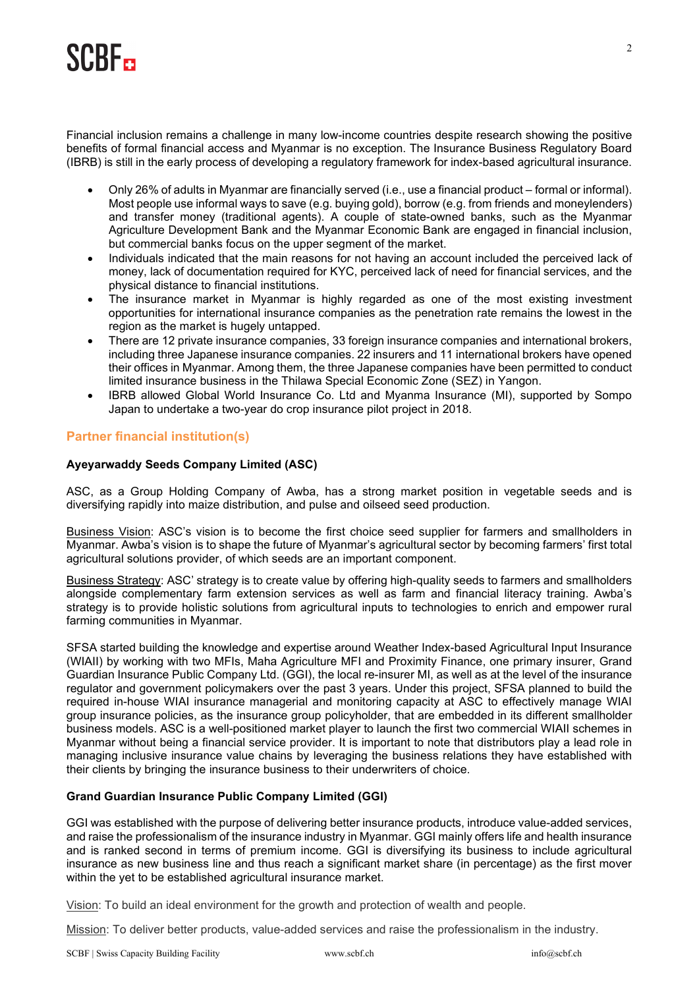# **SCRE-**

Financial inclusion remains a challenge in many low-income countries despite research showing the positive benefits of formal financial access and Myanmar is no exception. The Insurance Business Regulatory Board (IBRB) is still in the early process of developing a regulatory framework for index-based agricultural insurance.

- Only 26% of adults in Myanmar are financially served (i.e., use a financial product formal or informal). Most people use informal ways to save (e.g. buying gold), borrow (e.g. from friends and moneylenders) and transfer money (traditional agents). A couple of state-owned banks, such as the Myanmar Agriculture Development Bank and the Myanmar Economic Bank are engaged in financial inclusion, but commercial banks focus on the upper segment of the market.
- Individuals indicated that the main reasons for not having an account included the perceived lack of money, lack of documentation required for KYC, perceived lack of need for financial services, and the physical distance to financial institutions.
- The insurance market in Myanmar is highly regarded as one of the most existing investment opportunities for international insurance companies as the penetration rate remains the lowest in the region as the market is hugely untapped.
- There are 12 private insurance companies, 33 foreign insurance companies and international brokers, including three Japanese insurance companies. 22 insurers and 11 international brokers have opened their offices in Myanmar. Among them, the three Japanese companies have been permitted to conduct limited insurance business in the Thilawa Special Economic Zone (SEZ) in Yangon.
- IBRB allowed Global World Insurance Co. Ltd and Myanma Insurance (MI), supported by Sompo Japan to undertake a two-year do crop insurance pilot project in 2018.

### **Partner financial institution(s)**

### **Ayeyarwaddy Seeds Company Limited (ASC)**

ASC, as a Group Holding Company of Awba, has a strong market position in vegetable seeds and is diversifying rapidly into maize distribution, and pulse and oilseed seed production.

Business Vision: ASC's vision is to become the first choice seed supplier for farmers and smallholders in Myanmar. Awba's vision is to shape the future of Myanmar's agricultural sector by becoming farmers' first total agricultural solutions provider, of which seeds are an important component.

Business Strategy: ASC' strategy is to create value by offering high-quality seeds to farmers and smallholders alongside complementary farm extension services as well as farm and financial literacy training. Awba's strategy is to provide holistic solutions from agricultural inputs to technologies to enrich and empower rural farming communities in Myanmar.

SFSA started building the knowledge and expertise around Weather Index-based Agricultural Input Insurance (WIAII) by working with two MFIs, Maha Agriculture MFI and Proximity Finance, one primary insurer, Grand Guardian Insurance Public Company Ltd. (GGI), the local re-insurer MI, as well as at the level of the insurance regulator and government policymakers over the past 3 years. Under this project, SFSA planned to build the required in-house WIAI insurance managerial and monitoring capacity at ASC to effectively manage WIAI group insurance policies, as the insurance group policyholder, that are embedded in its different smallholder business models. ASC is a well-positioned market player to launch the first two commercial WIAII schemes in Myanmar without being a financial service provider. It is important to note that distributors play a lead role in managing inclusive insurance value chains by leveraging the business relations they have established with their clients by bringing the insurance business to their underwriters of choice.

### **Grand Guardian Insurance Public Company Limited (GGI)**

GGI was established with the purpose of delivering better insurance products, introduce value-added services, and raise the professionalism of the insurance industry in Myanmar. GGI mainly offers life and health insurance and is ranked second in terms of premium income. GGI is diversifying its business to include agricultural insurance as new business line and thus reach a significant market share (in percentage) as the first mover within the yet to be established agricultural insurance market.

Vision: To build an ideal environment for the growth and protection of wealth and people.

Mission: To deliver better products, value-added services and raise the professionalism in the industry.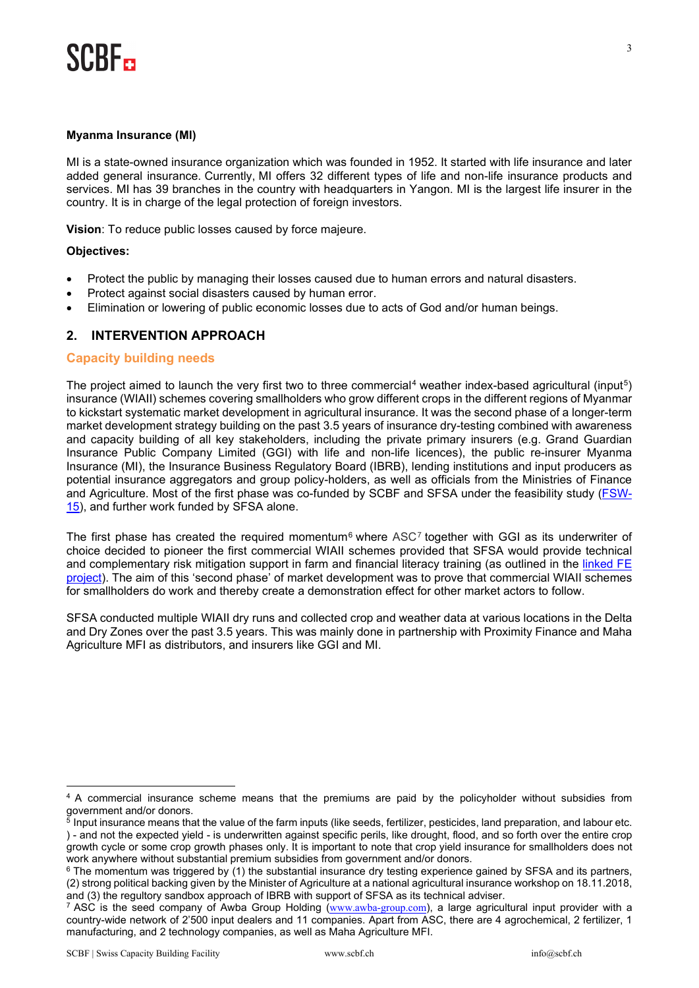## **SCRE-**

### **Myanma Insurance (MI)**

MI is a state-owned insurance organization which was founded in 1952. It started with life insurance and later added general insurance. Currently, MI offers 32 different types of life and non-life insurance products and services. MI has 39 branches in the country with headquarters in Yangon. MI is the largest life insurer in the country. It is in charge of the legal protection of foreign investors.

**Vision**: To reduce public losses caused by force majeure.

### **Objectives:**

- Protect the public by managing their losses caused due to human errors and natural disasters.
- Protect against social disasters caused by human error.
- Elimination or lowering of public economic losses due to acts of God and/or human beings.

### **2. INTERVENTION APPROACH**

### **Capacity building needs**

The project aimed to launch the very first two to three commercial<sup>[4](#page-2-0)</sup> weather index-based agricultural (input<sup>[5](#page-2-1)</sup>) insurance (WIAII) schemes covering smallholders who grow different crops in the different regions of Myanmar to kickstart systematic market development in agricultural insurance. It was the second phase of a longer-term market development strategy building on the past 3.5 years of insurance dry-testing combined with awareness and capacity building of all key stakeholders, including the private primary insurers (e.g. Grand Guardian Insurance Public Company Limited (GGI) with life and non-life licences), the public re-insurer Myanma Insurance (MI), the Insurance Business Regulatory Board (IBRB), lending institutions and input producers as potential insurance aggregators and group policy-holders, as well as officials from the Ministries of Finance and Agriculture. Most of the first phase was co-funded by SCBF and SFSA under the feasibility study [\(FSW-](https://scbf.ch/wp-content/uploads/2020/06/SCBF_FS-15_Report-Final_Myanmar-SFSA-1.pdf)[15\)](https://scbf.ch/wp-content/uploads/2020/06/SCBF_FS-15_Report-Final_Myanmar-SFSA-1.pdf), and further work funded by SFSA alone.

The first phase has created the required momentum<sup>[6](#page-2-2)</sup> where ASC<sup>[7](#page-2-3)</sup> together with GGI as its underwriter of choice decided to pioneer the first commercial WIAII schemes provided that SFSA would provide technical and complementary risk mitigation support in farm and financial literacy training (as outlined in the linked FE [project\)](https://scbf.ch/wp-content/uploads/2022/03/FE20_Final-Report-track-changes-7-March-2022-final.pdf). The aim of this 'second phase' of market development was to prove that commercial WIAII schemes for smallholders do work and thereby create a demonstration effect for other market actors to follow.

SFSA conducted multiple WIAII dry runs and collected crop and weather data at various locations in the Delta and Dry Zones over the past 3.5 years. This was mainly done in partnership with Proximity Finance and Maha Agriculture MFI as distributors, and insurers like GGI and MI.

<span id="page-2-0"></span><sup>4</sup> A commercial insurance scheme means that the premiums are paid by the policyholder without subsidies from government and/or donors.

<span id="page-2-1"></span><sup>&</sup>lt;sup>5</sup> Input insurance means that the value of the farm inputs (like seeds, fertilizer, pesticides, land preparation, and labour etc. ) - and not the expected yield - is underwritten against specific perils, like drought, flood, and so forth over the entire crop growth cycle or some crop growth phases only. It is important to note that crop yield insurance for smallholders does not work anywhere without substantial premium subsidies from government and/or donors.

<span id="page-2-2"></span><sup>&</sup>lt;sup>6</sup> The momentum was triggered by (1) the substantial insurance dry testing experience gained by SFSA and its partners, (2) strong political backing given by the Minister of Agriculture at a national agricultural insurance workshop on 18.11.2018, and (3) the regultory sandbox approach of IBRB with support of SFSA as its technical adviser.

<span id="page-2-3"></span><sup>&</sup>lt;sup>7</sup> ASC is the seed company of Awba Group Holding ([www.awba-group.com](http://www.awba-group.com/)), a large agricultural input provider with a country-wide network of 2'500 input dealers and 11 companies. Apart from ASC, there are 4 agrochemical, 2 fertilizer, 1 manufacturing, and 2 technology companies, as well as Maha Agriculture MFI.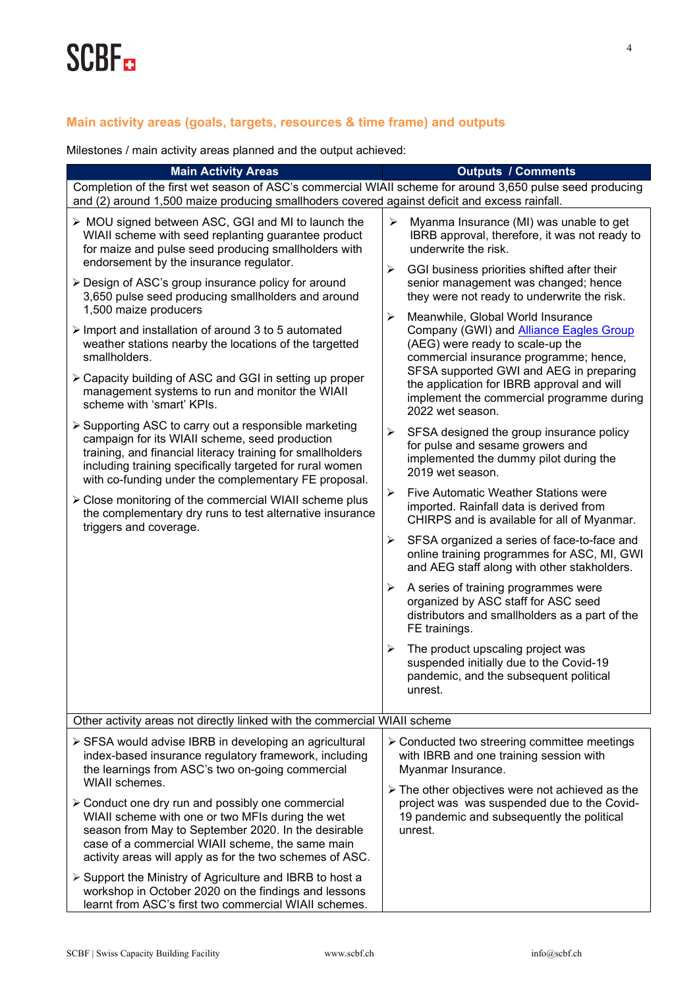### **Main activity areas (goals, targets, resources & time frame) and outputs**

Milestones / main activity areas planned and the output achieved:

| <b>Main Activity Areas</b>                                                                                                                                                                                                                                                                | <b>Outputs / Comments</b>                                                                                                                                                                                                                                                               |  |  |  |
|-------------------------------------------------------------------------------------------------------------------------------------------------------------------------------------------------------------------------------------------------------------------------------------------|-----------------------------------------------------------------------------------------------------------------------------------------------------------------------------------------------------------------------------------------------------------------------------------------|--|--|--|
| Completion of the first wet season of ASC's commercial WIAII scheme for around 3,650 pulse seed producing<br>and (2) around 1,500 maize producing smallhoders covered against deficit and excess rainfall.                                                                                |                                                                                                                                                                                                                                                                                         |  |  |  |
| > MOU signed between ASC, GGI and MI to launch the<br>WIAII scheme with seed replanting guarantee product<br>for maize and pulse seed producing smallholders with<br>endorsement by the insurance regulator.                                                                              | $\blacktriangleright$<br>Myanma Insurance (MI) was unable to get<br>IBRB approval, therefore, it was not ready to<br>underwrite the risk.                                                                                                                                               |  |  |  |
| ≻ Design of ASC's group insurance policy for around<br>3,650 pulse seed producing smallholders and around<br>1,500 maize producers                                                                                                                                                        | $\blacktriangleright$<br>GGI business priorities shifted after their<br>senior management was changed; hence<br>they were not ready to underwrite the risk.                                                                                                                             |  |  |  |
| > Import and installation of around 3 to 5 automated<br>weather stations nearby the locations of the targetted<br>smallholders.                                                                                                                                                           | Meanwhile, Global World Insurance<br>Company (GWI) and <b>Alliance Eagles Group</b><br>(AEG) were ready to scale-up the<br>commercial insurance programme; hence,                                                                                                                       |  |  |  |
| > Capacity building of ASC and GGI in setting up proper<br>management systems to run and monitor the WIAII<br>scheme with 'smart' KPIs.                                                                                                                                                   | SFSA supported GWI and AEG in preparing<br>the application for IBRB approval and will<br>implement the commercial programme during<br>2022 wet season.                                                                                                                                  |  |  |  |
| > Supporting ASC to carry out a responsible marketing<br>campaign for its WIAII scheme, seed production<br>training, and financial literacy training for smallholders<br>including training specifically targeted for rural women<br>with co-funding under the complementary FE proposal. | $\blacktriangleright$<br>SFSA designed the group insurance policy<br>for pulse and sesame growers and<br>implemented the dummy pilot during the<br>2019 wet season.                                                                                                                     |  |  |  |
| > Close monitoring of the commercial WIAII scheme plus<br>the complementary dry runs to test alternative insurance<br>triggers and coverage.                                                                                                                                              | Five Automatic Weather Stations were<br>≻<br>imported. Rainfall data is derived from<br>CHIRPS and is available for all of Myanmar.                                                                                                                                                     |  |  |  |
|                                                                                                                                                                                                                                                                                           | SFSA organized a series of face-to-face and<br>➤<br>online training programmes for ASC, MI, GWI<br>and AEG staff along with other stakholders.                                                                                                                                          |  |  |  |
|                                                                                                                                                                                                                                                                                           | A series of training programmes were<br>≻<br>organized by ASC staff for ASC seed<br>distributors and smallholders as a part of the<br>FE trainings.                                                                                                                                     |  |  |  |
|                                                                                                                                                                                                                                                                                           | The product upscaling project was<br>➤<br>suspended initially due to the Covid-19<br>pandemic, and the subsequent political<br>unrest.                                                                                                                                                  |  |  |  |
| Other activity areas not directly linked with the commercial WIAII scheme                                                                                                                                                                                                                 |                                                                                                                                                                                                                                                                                         |  |  |  |
| ≻ SFSA would advise IBRB in developing an agricultural<br>index-based insurance regulatory framework, including<br>the learnings from ASC's two on-going commercial<br>WIAII schemes.                                                                                                     | > Conducted two streering committee meetings<br>with IBRB and one training session with<br>Myanmar Insurance.<br>$\triangleright$ The other objectives were not achieved as the<br>project was was suspended due to the Covid-<br>19 pandemic and subsequently the political<br>unrest. |  |  |  |
| > Conduct one dry run and possibly one commercial<br>WIAII scheme with one or two MFIs during the wet<br>season from May to September 2020. In the desirable<br>case of a commercial WIAII scheme, the same main<br>activity areas will apply as for the two schemes of ASC.              |                                                                                                                                                                                                                                                                                         |  |  |  |
| ≻ Support the Ministry of Agriculture and IBRB to host a<br>workshop in October 2020 on the findings and lessons<br>learnt from ASC's first two commercial WIAII schemes.                                                                                                                 |                                                                                                                                                                                                                                                                                         |  |  |  |